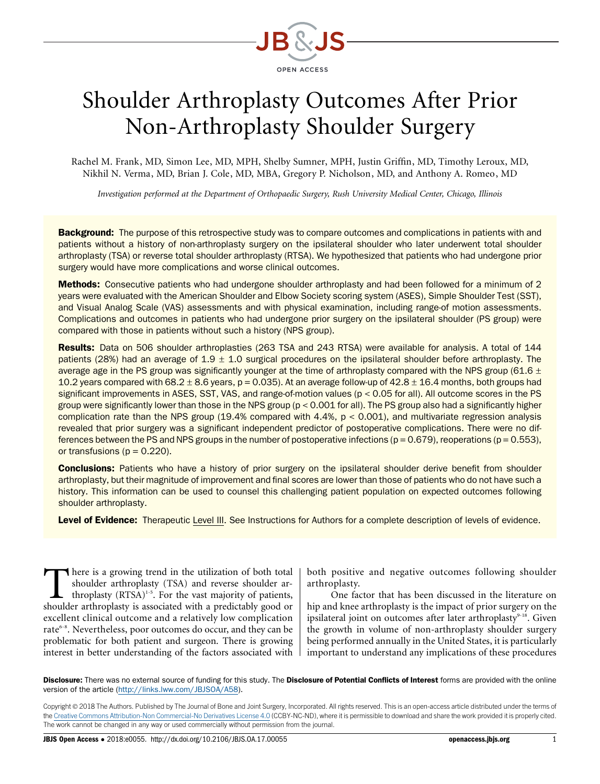

# Shoulder Arthroplasty Outcomes After Prior Non-Arthroplasty Shoulder Surgery

Rachel M. Frank, MD, Simon Lee, MD, MPH, Shelby Sumner, MPH, Justin Griffin, MD, Timothy Leroux, MD, Nikhil N. Verma, MD, Brian J. Cole, MD, MBA, Gregory P. Nicholson, MD, and Anthony A. Romeo, MD

Investigation performed at the Department of Orthopaedic Surgery, Rush University Medical Center, Chicago, Illinois

**Background:** The purpose of this retrospective study was to compare outcomes and complications in patients with and patients without a history of non-arthroplasty surgery on the ipsilateral shoulder who later underwent total shoulder arthroplasty (TSA) or reverse total shoulder arthroplasty (RTSA). We hypothesized that patients who had undergone prior surgery would have more complications and worse clinical outcomes.

**Methods:** Consecutive patients who had undergone shoulder arthroplasty and had been followed for a minimum of 2 years were evaluated with the American Shoulder and Elbow Society scoring system (ASES), Simple Shoulder Test (SST), and Visual Analog Scale (VAS) assessments and with physical examination, including range-of motion assessments. Complications and outcomes in patients who had undergone prior surgery on the ipsilateral shoulder (PS group) were compared with those in patients without such a history (NPS group).

Results: Data on 506 shoulder arthroplasties (263 TSA and 243 RTSA) were available for analysis. A total of 144 patients (28%) had an average of  $1.9 \pm 1.0$  surgical procedures on the ipsilateral shoulder before arthroplasty. The average age in the PS group was significantly younger at the time of arthroplasty compared with the NPS group (61.6  $\pm$ 10.2 years compared with 68.2  $\pm$  8.6 years, p = 0.035). At an average follow-up of 42.8  $\pm$  16.4 months, both groups had significant improvements in ASES, SST, VAS, and range-of-motion values ( $p < 0.05$  for all). All outcome scores in the PS group were significantly lower than those in the NPS group (p < 0.001 for all). The PS group also had a significantly higher complication rate than the NPS group (19.4% compared with 4.4%, p < 0.001), and multivariate regression analysis revealed that prior surgery was a significant independent predictor of postoperative complications. There were no differences between the PS and NPS groups in the number of postoperative infections ( $p = 0.679$ ), reoperations ( $p = 0.553$ ), or transfusions ( $p = 0.220$ ).

Conclusions: Patients who have a history of prior surgery on the ipsilateral shoulder derive benefit from shoulder arthroplasty, but their magnitude of improvement and final scores are lower than those of patients who do not have such a history. This information can be used to counsel this challenging patient population on expected outcomes following shoulder arthroplasty.

Level of Evidence: Therapeutic Level III. See Instructions for Authors for a complete description of levels of evidence.

There is a growing trend in the utilization of both total<br>shoulder arthroplasty (TSA) and reverse shoulder arthroplasty (RTSA)<sup>1-5</sup>. For the vast majority of patients,<br>shoulder arthroplasty is associated with a predictably shoulder arthroplasty (TSA) and reverse shoulder arthroplasty (RTSA)<sup>1-5</sup>. For the vast majority of patients, shoulder arthroplasty is associated with a predictably good or excellent clinical outcome and a relatively low complication rate<sup>6-8</sup>. Nevertheless, poor outcomes do occur, and they can be problematic for both patient and surgeon. There is growing interest in better understanding of the factors associated with

both positive and negative outcomes following shoulder arthroplasty.

One factor that has been discussed in the literature on hip and knee arthroplasty is the impact of prior surgery on the ipsilateral joint on outcomes after later arthroplasty<sup>9-18</sup>. Given the growth in volume of non-arthroplasty shoulder surgery being performed annually in the United States, it is particularly important to understand any implications of these procedures

Disclosure: There was no external source of funding for this study. The Disclosure of Potential Conflicts of Interest forms are provided with the online version of the article (http://links.lww.com/JBJSOA/A58).

Copyright © 2018 The Authors. Published by The Journal of Bone and Joint Surgery, Incorporated. All rights reserved. This is an open-access article distributed under the terms of the Creative Commons Attribution-Non Commercial-No Derivatives License 4.0 (CCBY-NC-ND), where it is permissible to download and share the work provided it is properly cited. The work cannot be changed in any way or used commercially without permission from the journal.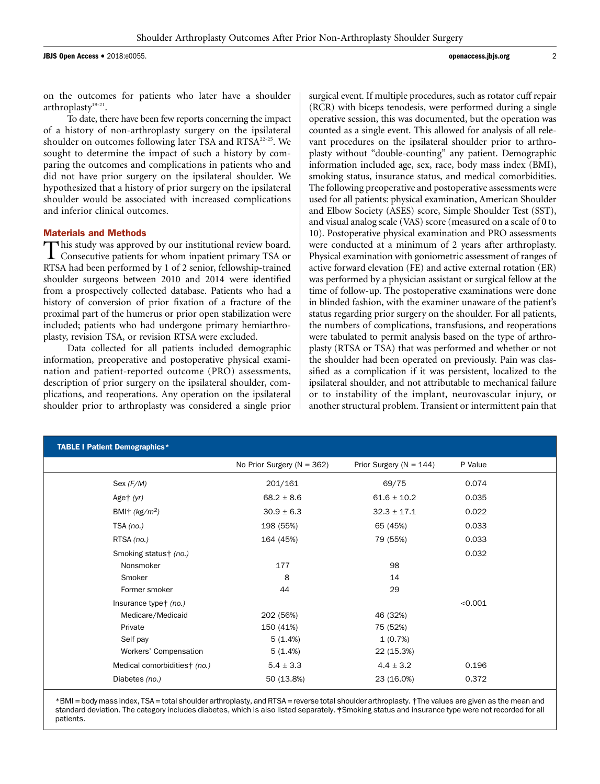To date, there have been few reports concerning the impact of a history of non-arthroplasty surgery on the ipsilateral shoulder on outcomes following later TSA and RTSA<sup>22-25</sup>. We sought to determine the impact of such a history by comparing the outcomes and complications in patients who and did not have prior surgery on the ipsilateral shoulder. We hypothesized that a history of prior surgery on the ipsilateral shoulder would be associated with increased complications and inferior clinical outcomes.

# Materials and Methods

This study was approved by our institutional review board.<br>Consecutive patients for whom inpatient primary TSA or RTSA had been performed by 1 of 2 senior, fellowship-trained shoulder surgeons between 2010 and 2014 were identified from a prospectively collected database. Patients who had a history of conversion of prior fixation of a fracture of the proximal part of the humerus or prior open stabilization were included; patients who had undergone primary hemiarthroplasty, revision TSA, or revision RTSA were excluded.

Data collected for all patients included demographic information, preoperative and postoperative physical examination and patient-reported outcome (PRO) assessments, description of prior surgery on the ipsilateral shoulder, complications, and reoperations. Any operation on the ipsilateral shoulder prior to arthroplasty was considered a single prior surgical event. If multiple procedures, such as rotator cuff repair (RCR) with biceps tenodesis, were performed during a single operative session, this was documented, but the operation was counted as a single event. This allowed for analysis of all relevant procedures on the ipsilateral shoulder prior to arthroplasty without "double-counting" any patient. Demographic information included age, sex, race, body mass index (BMI), smoking status, insurance status, and medical comorbidities. The following preoperative and postoperative assessments were used for all patients: physical examination, American Shoulder and Elbow Society (ASES) score, Simple Shoulder Test (SST), and visual analog scale (VAS) score (measured on a scale of 0 to 10). Postoperative physical examination and PRO assessments were conducted at a minimum of 2 years after arthroplasty. Physical examination with goniometric assessment of ranges of active forward elevation (FE) and active external rotation (ER) was performed by a physician assistant or surgical fellow at the time of follow-up. The postoperative examinations were done in blinded fashion, with the examiner unaware of the patient's status regarding prior surgery on the shoulder. For all patients, the numbers of complications, transfusions, and reoperations were tabulated to permit analysis based on the type of arthroplasty (RTSA or TSA) that was performed and whether or not the shoulder had been operated on previously. Pain was classified as a complication if it was persistent, localized to the ipsilateral shoulder, and not attributable to mechanical failure or to instability of the implant, neurovascular injury, or another structural problem. Transient or intermittent pain that

| <b>TABLE I Patient Demographics*</b>     |                                |                             |         |
|------------------------------------------|--------------------------------|-----------------------------|---------|
|                                          | No Prior Surgery ( $N = 362$ ) | Prior Surgery ( $N = 144$ ) | P Value |
| Sex $(F/M)$                              | 201/161                        | 69/75                       | 0.074   |
| Aget $(yr)$                              | $68.2 \pm 8.6$                 | $61.6 \pm 10.2$             | 0.035   |
| BMI† $(kg/m^2)$                          | $30.9 \pm 6.3$                 | $32.3 \pm 17.1$             | 0.022   |
| $TSA$ (no.)                              | 198 (55%)                      | 65 (45%)                    | 0.033   |
| RTSA (no.)                               | 164 (45%)                      | 79 (55%)                    | 0.033   |
| Smoking status† (no.)                    |                                |                             | 0.032   |
| Nonsmoker                                | 177                            | 98                          |         |
| Smoker                                   | 8                              | 14                          |         |
| Former smoker                            | 44                             | 29                          |         |
| Insurance type+ (no.)                    |                                |                             | < 0.001 |
| Medicare/Medicaid                        | 202 (56%)                      | 46 (32%)                    |         |
| Private                                  | 150 (41%)                      | 75 (52%)                    |         |
| Self pay                                 | 5(1.4%)                        | 1(0.7%)                     |         |
| Workers' Compensation                    | 5(1.4%)                        | 22 (15.3%)                  |         |
| Medical comorbidities <sup>+</sup> (no.) | $5.4 \pm 3.3$                  | $4.4 \pm 3.2$               | 0.196   |
| Diabetes (no.)                           | 50 (13.8%)                     | 23 (16.0%)                  | 0.372   |

\*BMI = body mass index, TSA = total shoulder arthroplasty, and RTSA = reverse total shoulder arthroplasty. †The values are given as the mean and standard deviation. The category includes diabetes, which is also listed separately. ‡Smoking status and insurance type were not recorded for all patients.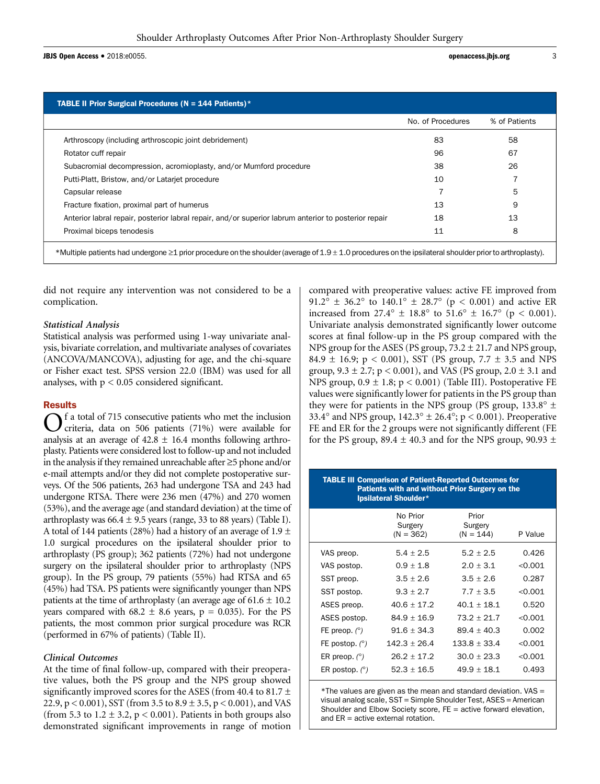JBJS Open Access • 2018:e0055. com and a series of a series of a series of a series of a series of a series of a series of a series of a series of a series of a series of a series of a series of a series of a series of a s

| <b>TABLE II Prior Surgical Procedures (N = 144 Patients)*</b>                                        |                   |               |
|------------------------------------------------------------------------------------------------------|-------------------|---------------|
|                                                                                                      | No. of Procedures | % of Patients |
| Arthroscopy (including arthroscopic joint debridement)                                               | 83                | 58            |
| Rotator cuff repair                                                                                  | 96                | 67            |
| Subacromial decompression, acromioplasty, and/or Mumford procedure                                   | 38                | 26            |
| Putti-Platt, Bristow, and/or Latariet procedure                                                      | 10                |               |
| Capsular release                                                                                     |                   | 5             |
| Fracture fixation, proximal part of humerus                                                          | 13                | 9             |
| Anterior labral repair, posterior labral repair, and/or superior labrum anterior to posterior repair | 18                | 13            |
| Proximal biceps tenodesis                                                                            | 11                | 8             |
|                                                                                                      |                   |               |

\*Multiple patients had undergone ‡1 prior procedure on the shoulder (average of 1.9 ± 1.0 procedures on the ipsilateral shoulder prior to arthroplasty).

did not require any intervention was not considered to be a complication.

#### Statistical Analysis

Statistical analysis was performed using 1-way univariate analysis, bivariate correlation, and multivariate analyses of covariates (ANCOVA/MANCOVA), adjusting for age, and the chi-square or Fisher exact test. SPSS version 22.0 (IBM) was used for all analyses, with  $p < 0.05$  considered significant.

#### Results

f a total of 715 consecutive patients who met the inclusion criteria, data on 506 patients (71%) were available for analysis at an average of  $42.8 \pm 16.4$  months following arthroplasty. Patients were considered lost to follow-up and not included in the analysis if they remained unreachable after  $\geq$ 5 phone and/or e-mail attempts and/or they did not complete postoperative surveys. Of the 506 patients, 263 had undergone TSA and 243 had undergone RTSA. There were 236 men (47%) and 270 women (53%), and the average age (and standard deviation) at the time of arthroplasty was  $66.4 \pm 9.5$  years (range, 33 to 88 years) (Table I). A total of 144 patients (28%) had a history of an average of 1.9  $\pm$ 1.0 surgical procedures on the ipsilateral shoulder prior to arthroplasty (PS group); 362 patients (72%) had not undergone surgery on the ipsilateral shoulder prior to arthroplasty (NPS group). In the PS group, 79 patients (55%) had RTSA and 65 (45%) had TSA. PS patients were significantly younger than NPS patients at the time of arthroplasty (an average age of  $61.6 \pm 10.2$ ) years compared with 68.2  $\pm$  8.6 years, p = 0.035). For the PS patients, the most common prior surgical procedure was RCR (performed in 67% of patients) (Table II).

# Clinical Outcomes

At the time of final follow-up, compared with their preoperative values, both the PS group and the NPS group showed significantly improved scores for the ASES (from 40.4 to 81.7  $\pm$ 22.9, p < 0.001), SST (from 3.5 to 8.9 ± 3.5, p < 0.001), and VAS (from 5.3 to  $1.2 \pm 3.2$ ,  $p < 0.001$ ). Patients in both groups also demonstrated significant improvements in range of motion compared with preoperative values: active FE improved from  $91.2^{\circ} \pm 36.2^{\circ}$  to  $140.1^{\circ} \pm 28.7^{\circ}$  (p < 0.001) and active ER increased from  $27.4^{\circ} \pm 18.8^{\circ}$  to  $51.6^{\circ} \pm 16.7^{\circ}$  (p < 0.001). Univariate analysis demonstrated significantly lower outcome scores at final follow-up in the PS group compared with the NPS group for the ASES (PS group,  $73.2 \pm 21.7$  and NPS group, 84.9  $\pm$  16.9; p < 0.001), SST (PS group, 7.7  $\pm$  3.5 and NPS group,  $9.3 \pm 2.7$ ;  $p < 0.001$ ), and VAS (PS group,  $2.0 \pm 3.1$  and NPS group,  $0.9 \pm 1.8$ ;  $p < 0.001$ ) (Table III). Postoperative FE values were significantly lower for patients in the PS group than they were for patients in the NPS group (PS group,  $133.8^{\circ} \pm$ 33.4° and NPS group,  $142.3^{\circ} \pm 26.4^{\circ}$ ;  $p < 0.001$ ). Preoperative FE and ER for the 2 groups were not significantly different (FE for the PS group, 89.4  $\pm$  40.3 and for the NPS group, 90.93  $\pm$ 

| <b>TABLE III Comparison of Patient-Reported Outcomes for</b><br><b>Patients with and without Prior Surgery on the</b><br>Ipsilateral Shoulder* |                                    |                                 |         |  |
|------------------------------------------------------------------------------------------------------------------------------------------------|------------------------------------|---------------------------------|---------|--|
|                                                                                                                                                | No Prior<br>Surgery<br>$(N = 362)$ | Prior<br>Surgery<br>$(N = 144)$ | P Value |  |
| VAS preop.                                                                                                                                     | $5.4 \pm 2.5$                      | $5.2 + 2.5$                     | 0.426   |  |
| VAS postop.                                                                                                                                    | $0.9 \pm 1.8$                      | $2.0 \pm 3.1$                   | < 0.001 |  |
| SST preop.                                                                                                                                     | $3.5 + 2.6$                        | $3.5 + 2.6$                     | 0.287   |  |
| SST postop.                                                                                                                                    | $9.3 + 2.7$                        | $7.7 + 3.5$                     | < 0.001 |  |
| ASES preop.                                                                                                                                    | $40.6 + 17.2$                      | $40.1 + 18.1$                   | 0.520   |  |
| ASES postop.                                                                                                                                   | $84.9 + 16.9$                      | $73.2 + 21.7$                   | < 0.001 |  |
| FE preop. $(^\circ)$                                                                                                                           | $91.6 + 34.3$                      | $89.4 + 40.3$                   | 0.002   |  |
| FE postop. $(^\circ)$                                                                                                                          | $142.3 + 26.4$                     | $133.8 + 33.4$                  | < 0.001 |  |
| ER preop. $(^\circ)$                                                                                                                           | $26.2 + 17.2$                      | $30.0 + 23.3$                   | < 0.001 |  |
| ER postop. $(°)$                                                                                                                               | $52.3 + 16.5$                      | $49.9 + 18.1$                   | 0.493   |  |

\*The values are given as the mean and standard deviation. VAS = visual analog scale, SST = Simple Shoulder Test, ASES = American Shoulder and Elbow Society score, FE = active forward elevation, and ER = active external rotation.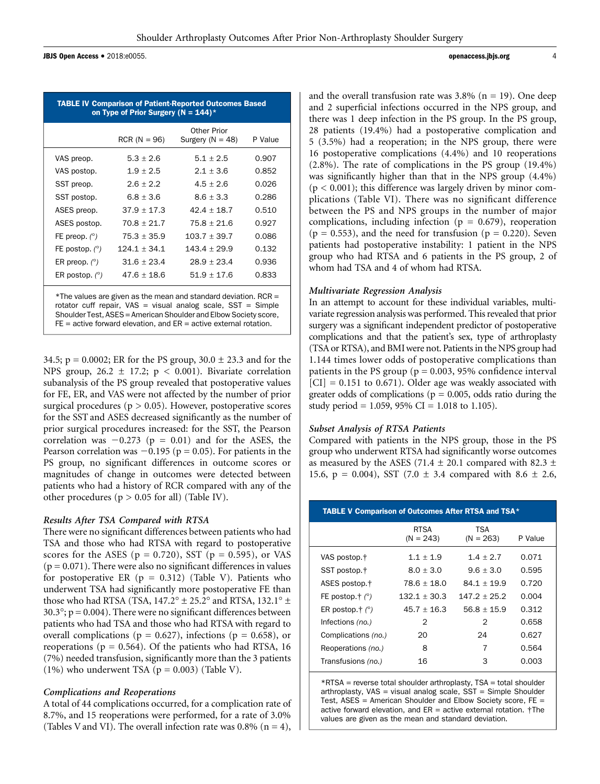**JBJS Open Access •** 2018:e0055. **and 2018: and 2018: and 2018: and 2018: and 2018: and 2018: and 2018: and 2018: and 2018: and 2018: and 2018: and 2018: and 2018: and 2018: and 2018: and 2018** 

TABLE IV Comparison of Patient-Reported Outcomes Based on Type of Prior Surgery ( $N = 144$ )\*  $RCR (N = 96)$ Other Prior Surgery  $(N = 48)$  P Value VAS preop.  $5.3 \pm 2.6$   $5.1 \pm 2.5$  0.907 VAS postop.  $1.9 \pm 2.5$   $2.1 \pm 3.6$  0.852 SST preop. 2.6  $\pm$  2.2 4.5  $\pm$  2.6 0.026 SST postop.  $6.8 \pm 3.6$   $8.6 \pm 3.3$  0.286 ASES preop.  $37.9 \pm 17.3$   $42.4 \pm 18.7$  0.510 ASES postop.  $70.8 \pm 21.7$   $75.8 \pm 21.6$  0.927 FE preop. (°)  $75.3 \pm 35.9$   $103.7 \pm 39.7$  0.086<br>FE postop. (°)  $124.1 \pm 34.1$   $143.4 \pm 29.9$  0.132 FE postop. (°)  $124.1 \pm 34.1$   $143.4 \pm 29.9$  0.132<br>ER preop. (°)  $31.6 \pm 23.4$   $28.9 \pm 23.4$  0.936  $31.6 \pm 23.4$   $28.9 \pm 23.4$  0.936<br> $47.6 \pm 18.6$   $51.9 \pm 17.6$  0.833 ER postop.  $(°)$ \*The values are given as the mean and standard deviation. RCR = rotator cuff repair,  $VAS =$  visual analog scale,  $SST =$  Simple Shoulder Test, ASES = American Shoulder and Elbow Society score,  $FE = active$  forward elevation, and  $ER = active$  external rotation.

34.5;  $p = 0.0002$ ; ER for the PS group,  $30.0 \pm 23.3$  and for the NPS group,  $26.2 \pm 17.2$ ;  $p < 0.001$ ). Bivariate correlation subanalysis of the PS group revealed that postoperative values for FE, ER, and VAS were not affected by the number of prior surgical procedures ( $p > 0.05$ ). However, postoperative scores for the SST and ASES decreased significantly as the number of prior surgical procedures increased: for the SST, the Pearson correlation was  $-0.273$  (p = 0.01) and for the ASES, the Pearson correlation was  $-0.195$  (p = 0.05). For patients in the PS group, no significant differences in outcome scores or magnitudes of change in outcomes were detected between patients who had a history of RCR compared with any of the other procedures ( $p > 0.05$  for all) (Table IV).

# Results After TSA Compared with RTSA

There were no significant differences between patients who had TSA and those who had RTSA with regard to postoperative scores for the ASES ( $p = 0.720$ ), SST ( $p = 0.595$ ), or VAS  $(p = 0.071)$ . There were also no significant differences in values for postoperative ER ( $p = 0.312$ ) (Table V). Patients who underwent TSA had significantly more postoperative FE than those who had RTSA (TSA,  $147.2^{\circ} \pm 25.2^{\circ}$  and RTSA,  $132.1^{\circ} \pm 25.2^{\circ}$  $30.3^\circ$ ; p = 0.004). There were no significant differences between patients who had TSA and those who had RTSA with regard to overall complications ( $p = 0.627$ ), infections ( $p = 0.658$ ), or reoperations ( $p = 0.564$ ). Of the patients who had RTSA, 16 (7%) needed transfusion, significantly more than the 3 patients (1%) who underwent TSA ( $p = 0.003$ ) (Table V).

# Complications and Reoperations

A total of 44 complications occurred, for a complication rate of 8.7%, and 15 reoperations were performed, for a rate of 3.0% (Tables V and VI). The overall infection rate was 0.8% ( $n = 4$ ),

and the overall transfusion rate was  $3.8\%$  (n = 19). One deep and 2 superficial infections occurred in the NPS group, and there was 1 deep infection in the PS group. In the PS group, 28 patients (19.4%) had a postoperative complication and 5 (3.5%) had a reoperation; in the NPS group, there were 16 postoperative complications (4.4%) and 10 reoperations (2.8%). The rate of complications in the PS group (19.4%) was significantly higher than that in the NPS group (4.4%)  $(p < 0.001)$ ; this difference was largely driven by minor complications (Table VI). There was no significant difference between the PS and NPS groups in the number of major complications, including infection ( $p = 0.679$ ), reoperation  $(p = 0.553)$ , and the need for transfusion  $(p = 0.220)$ . Seven patients had postoperative instability: 1 patient in the NPS group who had RTSA and 6 patients in the PS group, 2 of whom had TSA and 4 of whom had RTSA.

#### Multivariate Regression Analysis

In an attempt to account for these individual variables, multivariate regression analysis was performed. This revealed that prior surgery was a significant independent predictor of postoperative complications and that the patient's sex, type of arthroplasty (TSA or RTSA), and BMIwere not. Patients in the NPS group had 1.144 times lower odds of postoperative complications than patients in the PS group ( $p = 0.003$ , 95% confidence interval  $|CI| = 0.151$  to 0.671). Older age was weakly associated with greater odds of complications ( $p = 0.005$ , odds ratio during the study period = 1.059, 95% CI = 1.018 to 1.105).

# Subset Analysis of RTSA Patients

Compared with patients in the NPS group, those in the PS group who underwent RTSA had significantly worse outcomes as measured by the ASES (71.4  $\pm$  20.1 compared with 82.3  $\pm$ 15.6,  $p = 0.004$ ), SST (7.0  $\pm$  3.4 compared with 8.6  $\pm$  2.6,

| <b>TABLE V Comparison of Outcomes After RTSA and TSA*</b> |                            |                           |         |  |
|-----------------------------------------------------------|----------------------------|---------------------------|---------|--|
|                                                           | <b>RTSA</b><br>$(N = 243)$ | <b>TSA</b><br>$(N = 263)$ | P Value |  |
| VAS postop. <sup>†</sup>                                  | $1.1 + 1.9$                | $1.4 + 2.7$               | 0.071   |  |
| SST postop. <sup>†</sup>                                  | $8.0 + 3.0$                | $9.6 + 3.0$               | 0.595   |  |
| ASES postop. <sup>†</sup>                                 | $78.6 + 18.0$              | $84.1 + 19.9$             | 0.720   |  |
| FE postop. $\dagger$ ( $\degree$ )                        | $132.1 + 30.3$             | $147.2 + 25.2$            | 0.004   |  |
| ER postop. $\dagger$ (°)                                  | $45.7 + 16.3$              | $56.8 + 15.9$             | 0.312   |  |
| Infections (no.)                                          | 2                          | 2                         | 0.658   |  |
| Complications (no.)                                       | 20                         | 24                        | 0.627   |  |
| Reoperations (no.)                                        | 8                          | 7                         | 0.564   |  |
| Transfusions (no.)                                        | 16                         | З                         | 0.003   |  |

\*RTSA = reverse total shoulder arthroplasty, TSA = total shoulder arthroplasty, VAS = visual analog scale, SST = Simple Shoulder Test, ASES = American Shoulder and Elbow Society score, FE = active forward elevation, and  $ER =$  active external rotation.  $\dagger The$ values are given as the mean and standard deviation.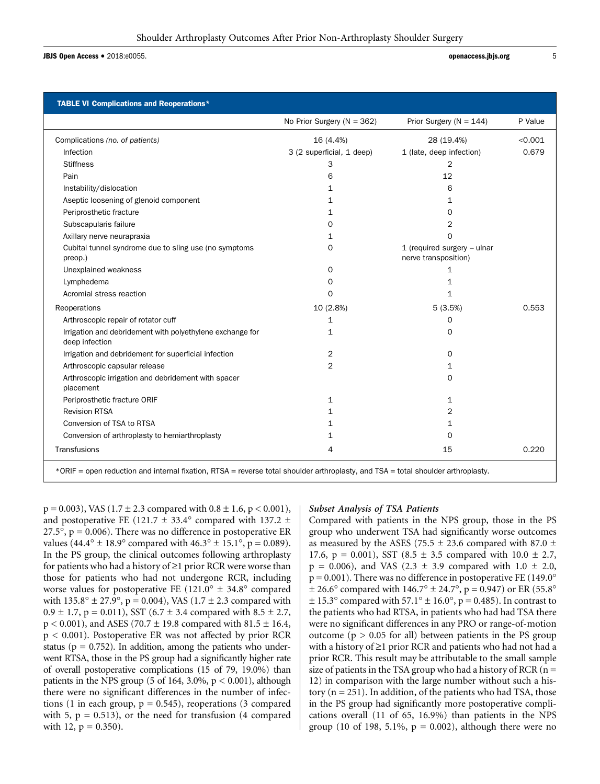# JBJS Open Access • 2018:e0055. com and a series of the contract of the contract of the contract of the contract of the contract of the contract of the contract of the contract of the contract of the contract of the contrac

| <b>TABLE VI Complications and Reoperations*</b>                                                                                  |                                |                                                     |         |  |
|----------------------------------------------------------------------------------------------------------------------------------|--------------------------------|-----------------------------------------------------|---------|--|
|                                                                                                                                  | No Prior Surgery ( $N = 362$ ) | Prior Surgery ( $N = 144$ )                         | P Value |  |
| Complications (no. of patients)                                                                                                  | 16 (4.4%)                      | 28 (19.4%)                                          | < 0.001 |  |
| Infection                                                                                                                        | 3 (2 superficial, 1 deep)      | 1 (late, deep infection)                            | 0.679   |  |
| <b>Stiffness</b>                                                                                                                 | 3                              | $\overline{2}$                                      |         |  |
| Pain                                                                                                                             | 6                              | 12                                                  |         |  |
| Instability/dislocation                                                                                                          | $\mathbf{1}$                   | 6                                                   |         |  |
| Aseptic loosening of glenoid component                                                                                           | 1                              | 1                                                   |         |  |
| Periprosthetic fracture                                                                                                          | 1                              | 0                                                   |         |  |
| Subscapularis failure                                                                                                            | $\Omega$                       | 2                                                   |         |  |
| Axillary nerve neurapraxia                                                                                                       | 1                              | $\Omega$                                            |         |  |
| Cubital tunnel syndrome due to sling use (no symptoms<br>preop.)                                                                 | 0                              | 1 (required surgery - ulnar<br>nerve transposition) |         |  |
| Unexplained weakness                                                                                                             | $\Omega$                       | 1                                                   |         |  |
| Lymphedema                                                                                                                       | $\Omega$                       | 1                                                   |         |  |
| Acromial stress reaction                                                                                                         | $\mathbf 0$                    | $\mathbf{1}$                                        |         |  |
| Reoperations                                                                                                                     | 10 (2.8%)                      | 5(3.5%)                                             | 0.553   |  |
| Arthroscopic repair of rotator cuff                                                                                              | 1                              | 0                                                   |         |  |
| Irrigation and debridement with polyethylene exchange for<br>deep infection                                                      | $\mathbf{1}$                   | 0                                                   |         |  |
| Irrigation and debridement for superficial infection                                                                             | 2                              | 0                                                   |         |  |
| Arthroscopic capsular release                                                                                                    | $\overline{2}$                 | 1                                                   |         |  |
| Arthroscopic irrigation and debridement with spacer<br>placement                                                                 |                                | $\Omega$                                            |         |  |
| Periprosthetic fracture ORIF                                                                                                     | $\mathbf{1}$                   | $\mathbf{1}$                                        |         |  |
| <b>Revision RTSA</b>                                                                                                             | 1                              | 2                                                   |         |  |
| Conversion of TSA to RTSA                                                                                                        | 1                              | 1                                                   |         |  |
| Conversion of arthroplasty to hemiarthroplasty                                                                                   | 1                              | 0                                                   |         |  |
| Transfusions                                                                                                                     | 4                              | 15                                                  | 0.220   |  |
| *ORIF = open reduction and internal fixation, RTSA = reverse total shoulder arthroplasty, and TSA = total shoulder arthroplasty. |                                |                                                     |         |  |

 $p = 0.003$ ), VAS (1.7 ± 2.3 compared with  $0.8 \pm 1.6$ , p < 0.001), and postoperative FE (121.7  $\pm$  33.4° compared with 137.2  $\pm$ 27.5°,  $p = 0.006$ ). There was no difference in postoperative ER values (44.4 $\degree$  ± 18.9 $\degree$  compared with 46.3 $\degree$  ± 15.1 $\degree$ , p = 0.089). In the PS group, the clinical outcomes following arthroplasty for patients who had a history of  $\geq 1$  prior RCR were worse than those for patients who had not undergone RCR, including worse values for postoperative FE (121.0 $\degree$  ± 34.8 $\degree$  compared with  $135.8^{\circ} \pm 27.9^{\circ}$ , p = 0.004), VAS (1.7  $\pm$  2.3 compared with  $0.9 \pm 1.7$ , p = 0.011), SST (6.7  $\pm$  3.4 compared with 8.5  $\pm$  2.7,  $p < 0.001$ ), and ASES (70.7  $\pm$  19.8 compared with 81.5  $\pm$  16.4, p < 0.001). Postoperative ER was not affected by prior RCR status ( $p = 0.752$ ). In addition, among the patients who underwent RTSA, those in the PS group had a significantly higher rate of overall postoperative complications (15 of 79, 19.0%) than patients in the NPS group (5 of 164, 3.0%,  $p < 0.001$ ), although there were no significant differences in the number of infections (1 in each group,  $p = 0.545$ ), reoperations (3 compared with 5,  $p = 0.513$ ), or the need for transfusion (4 compared with 12,  $p = 0.350$ ).

#### Subset Analysis of TSA Patients

Compared with patients in the NPS group, those in the PS group who underwent TSA had significantly worse outcomes as measured by the ASES (75.5  $\pm$  23.6 compared with 87.0  $\pm$ 17.6,  $p = 0.001$ ), SST (8.5  $\pm$  3.5 compared with 10.0  $\pm$  2.7,  $p = 0.006$ , and VAS (2.3  $\pm$  3.9 compared with 1.0  $\pm$  2.0,  $p = 0.001$ ). There was no difference in postoperative FE (149.0 $\degree$  $\pm$  26.6° compared with 146.7°  $\pm$  24.7°, p = 0.947) or ER (55.8°  $\pm$  15.3° compared with 57.1°  $\pm$  16.0°, p = 0.485). In contrast to the patients who had RTSA, in patients who had had TSA there were no significant differences in any PRO or range-of-motion outcome ( $p > 0.05$  for all) between patients in the PS group with a history of  $\geq$ 1 prior RCR and patients who had not had a prior RCR. This result may be attributable to the small sample size of patients in the TSA group who had a history of RCR ( $n =$ 12) in comparison with the large number without such a history  $(n = 251)$ . In addition, of the patients who had TSA, those in the PS group had significantly more postoperative complications overall (11 of 65, 16.9%) than patients in the NPS group (10 of 198, 5.1%,  $p = 0.002$ ), although there were no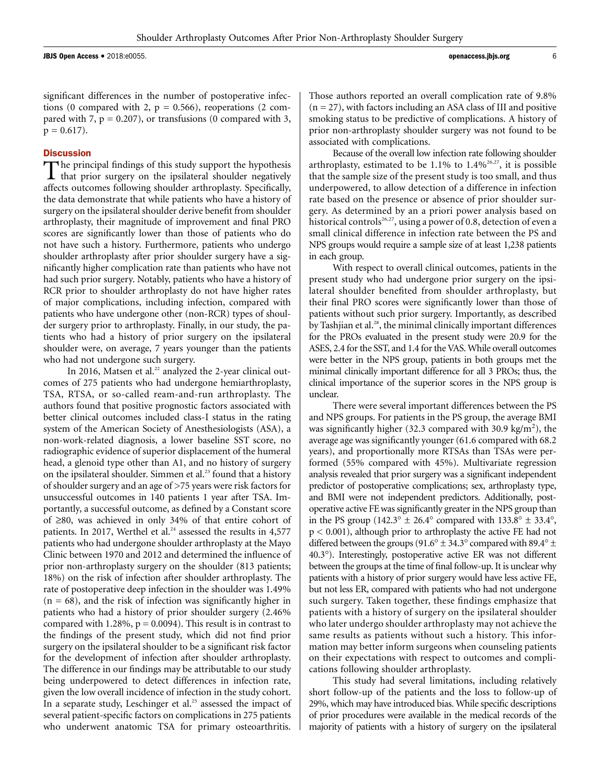**JBJS Open Access •** 2018:e0055. **compared to 2018:e0055.** openaccess.jbjs.org 6

significant differences in the number of postoperative infections (0 compared with 2,  $p = 0.566$ ), reoperations (2 compared with 7,  $p = 0.207$ , or transfusions (0 compared with 3,  $p = 0.617$ .

#### **Discussion**

The principal findings of this study support the hypothesis  $\mathsf L$  that prior surgery on the ipsilateral shoulder negatively affects outcomes following shoulder arthroplasty. Specifically, the data demonstrate that while patients who have a history of surgery on the ipsilateral shoulder derive benefit from shoulder arthroplasty, their magnitude of improvement and final PRO scores are significantly lower than those of patients who do not have such a history. Furthermore, patients who undergo shoulder arthroplasty after prior shoulder surgery have a significantly higher complication rate than patients who have not had such prior surgery. Notably, patients who have a history of RCR prior to shoulder arthroplasty do not have higher rates of major complications, including infection, compared with patients who have undergone other (non-RCR) types of shoulder surgery prior to arthroplasty. Finally, in our study, the patients who had a history of prior surgery on the ipsilateral shoulder were, on average, 7 years younger than the patients who had not undergone such surgery.

In 2016, Matsen et al.<sup>22</sup> analyzed the 2-year clinical outcomes of 275 patients who had undergone hemiarthroplasty, TSA, RTSA, or so-called ream-and-run arthroplasty. The authors found that positive prognostic factors associated with better clinical outcomes included class-I status in the rating system of the American Society of Anesthesiologists (ASA), a non-work-related diagnosis, a lower baseline SST score, no radiographic evidence of superior displacement of the humeral head, a glenoid type other than A1, and no history of surgery on the ipsilateral shoulder. Simmen et al.<sup>23</sup> found that a history of shoulder surgery and an age of >75 years were risk factors for unsuccessful outcomes in 140 patients 1 year after TSA. Importantly, a successful outcome, as defined by a Constant score of  $\geq 80$ , was achieved in only 34% of that entire cohort of patients. In 2017, Werthel et al.<sup>24</sup> assessed the results in 4,577 patients who had undergone shoulder arthroplasty at the Mayo Clinic between 1970 and 2012 and determined the influence of prior non-arthroplasty surgery on the shoulder (813 patients; 18%) on the risk of infection after shoulder arthroplasty. The rate of postoperative deep infection in the shoulder was 1.49%  $(n = 68)$ , and the risk of infection was significantly higher in patients who had a history of prior shoulder surgery (2.46% compared with 1.28%,  $p = 0.0094$ ). This result is in contrast to the findings of the present study, which did not find prior surgery on the ipsilateral shoulder to be a significant risk factor for the development of infection after shoulder arthroplasty. The difference in our findings may be attributable to our study being underpowered to detect differences in infection rate, given the low overall incidence of infection in the study cohort. In a separate study, Leschinger et al.<sup>25</sup> assessed the impact of several patient-specific factors on complications in 275 patients who underwent anatomic TSA for primary osteoarthritis. Those authors reported an overall complication rate of 9.8%  $(n = 27)$ , with factors including an ASA class of III and positive smoking status to be predictive of complications. A history of prior non-arthroplasty shoulder surgery was not found to be associated with complications.

Because of the overall low infection rate following shoulder arthroplasty, estimated to be 1.1% to  $1.4\%^{26,27}$ , it is possible that the sample size of the present study is too small, and thus underpowered, to allow detection of a difference in infection rate based on the presence or absence of prior shoulder surgery. As determined by an a priori power analysis based on historical controls<sup>26,27</sup>, using a power of 0.8, detection of even a small clinical difference in infection rate between the PS and NPS groups would require a sample size of at least 1,238 patients in each group.

With respect to overall clinical outcomes, patients in the present study who had undergone prior surgery on the ipsilateral shoulder benefited from shoulder arthroplasty, but their final PRO scores were significantly lower than those of patients without such prior surgery. Importantly, as described by Tashjian et al.<sup>28</sup>, the minimal clinically important differences for the PROs evaluated in the present study were 20.9 for the ASES, 2.4 for the SST, and 1.4 for the VAS. While overall outcomes were better in the NPS group, patients in both groups met the minimal clinically important difference for all 3 PROs; thus, the clinical importance of the superior scores in the NPS group is unclear.

There were several important differences between the PS and NPS groups. For patients in the PS group, the average BMI was significantly higher (32.3 compared with 30.9 kg/m<sup>2</sup>), the average age was significantly younger (61.6 compared with 68.2 years), and proportionally more RTSAs than TSAs were performed (55% compared with 45%). Multivariate regression analysis revealed that prior surgery was a significant independent predictor of postoperative complications; sex, arthroplasty type, and BMI were not independent predictors. Additionally, postoperative active FE was significantly greater in the NPS group than in the PS group (142.3°  $\pm$  26.4° compared with 133.8°  $\pm$  33.4°, p < 0.001), although prior to arthroplasty the active FE had not differed between the groups (91.6 $\degree$  ± 34.3 $\degree$  compared with 89.4 $\degree$  ± 40.3°). Interestingly, postoperative active ER was not different between the groups at the time of final follow-up. It is unclear why patients with a history of prior surgery would have less active FE, but not less ER, compared with patients who had not undergone such surgery. Taken together, these findings emphasize that patients with a history of surgery on the ipsilateral shoulder who later undergo shoulder arthroplasty may not achieve the same results as patients without such a history. This information may better inform surgeons when counseling patients on their expectations with respect to outcomes and complications following shoulder arthroplasty.

This study had several limitations, including relatively short follow-up of the patients and the loss to follow-up of 29%, which may have introduced bias. While specific descriptions of prior procedures were available in the medical records of the majority of patients with a history of surgery on the ipsilateral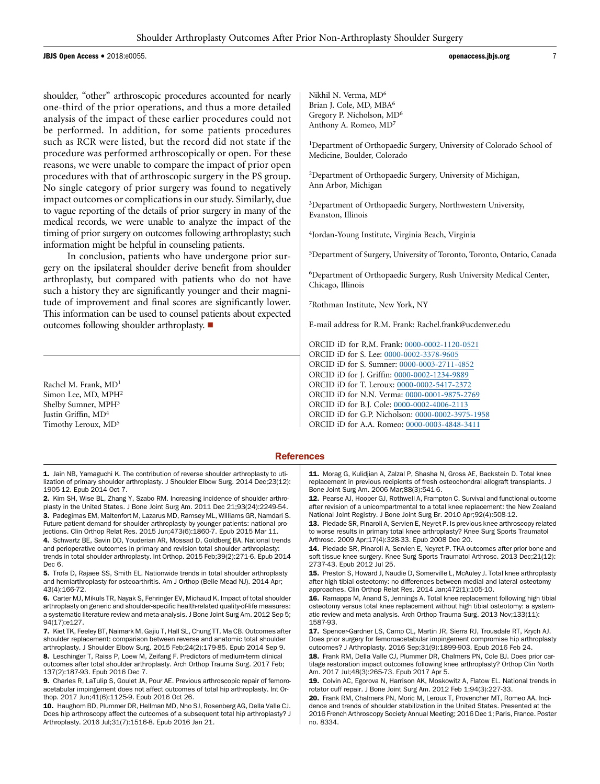**JBJS Open Access •** 2018:e0055. **and 2018: and 2018: and 2018: and 2018: and 2018: and 2018: and 2018: and 2018: and 2018: and 2018: and 2018: and 2018: and 2018: and 2018: and 2018: and 2018** 

shoulder, "other" arthroscopic procedures accounted for nearly one-third of the prior operations, and thus a more detailed analysis of the impact of these earlier procedures could not be performed. In addition, for some patients procedures such as RCR were listed, but the record did not state if the procedure was performed arthroscopically or open. For these reasons, we were unable to compare the impact of prior open procedures with that of arthroscopic surgery in the PS group. No single category of prior surgery was found to negatively impact outcomes or complications in our study. Similarly, due to vague reporting of the details of prior surgery in many of the medical records, we were unable to analyze the impact of the timing of prior surgery on outcomes following arthroplasty; such information might be helpful in counseling patients.

In conclusion, patients who have undergone prior surgery on the ipsilateral shoulder derive benefit from shoulder arthroplasty, but compared with patients who do not have such a history they are significantly younger and their magnitude of improvement and final scores are significantly lower. This information can be used to counsel patients about expected outcomes following shoulder arthroplasty.  $\blacksquare$ 

Rachel M. Frank, MD<sup>1</sup> Simon Lee, MD, MPH2 Shelby Sumner, MPH<sup>3</sup> Justin Griffin, MD<sup>4</sup> Timothy Leroux, MD5

1. Jain NB, Yamaguchi K. The contribution of reverse shoulder arthroplasty to utilization of primary shoulder arthroplasty. J Shoulder Elbow Surg. 2014 Dec;23(12): 1905-12. Epub 2014 Oct 7.

2. Kim SH, Wise BL, Zhang Y, Szabo RM. Increasing incidence of shoulder arthroplasty in the United States. J Bone Joint Surg Am. 2011 Dec 21;93(24):2249-54. 3. Padegimas EM, Maltenfort M, Lazarus MD, Ramsey ML, Williams GR, Namdari S. Future patient demand for shoulder arthroplasty by younger patients: national projections. Clin Orthop Relat Res. 2015 Jun;473(6):1860-7. Epub 2015 Mar 11.

4. Schwartz BE, Savin DD, Youderian AR, Mossad D, Goldberg BA. National trends and perioperative outcomes in primary and revision total shoulder arthroplasty: trends in total shoulder arthroplasty. Int Orthop. 2015 Feb;39(2):271-6. Epub 2014 Dec 6.

5. Trofa D, Rajaee SS, Smith EL. Nationwide trends in total shoulder arthroplasty and hemiarthroplasty for osteoarthritis. Am J Orthop (Belle Mead NJ). 2014 Apr; 43(4):166-72.

6. Carter MJ, Mikuls TR, Nayak S, Fehringer EV, Michaud K. Impact of total shoulder arthroplasty on generic and shoulder-specific health-related quality-of-life measures: a systematic literature review and meta-analysis. J Bone Joint Surg Am. 2012 Sep 5; 94(17):e127.

7. Kiet TK, Feeley BT, Naimark M, Gajiu T, Hall SL, Chung TT, Ma CB. Outcomes after shoulder replacement: comparison between reverse and anatomic total shoulder arthroplasty. J Shoulder Elbow Surg. 2015 Feb;24(2):179-85. Epub 2014 Sep 9.

8. Leschinger T, Raiss P, Loew M, Zeifang F. Predictors of medium-term clinical outcomes after total shoulder arthroplasty. Arch Orthop Trauma Surg. 2017 Feb; 137(2):187-93. Epub 2016 Dec 7.

9. Charles R, LaTulip S, Goulet JA, Pour AE. Previous arthroscopic repair of femoroacetabular impingement does not affect outcomes of total hip arthroplasty. Int Orthop. 2017 Jun;41(6):1125-9. Epub 2016 Oct 26.

10. Haughom BD, Plummer DR, Hellman MD, Nho SJ, Rosenberg AG, Della Valle CJ. Does hip arthroscopy affect the outcomes of a subsequent total hip arthroplasty? J Arthroplasty. 2016 Jul;31(7):1516-8. Epub 2016 Jan 21.

Nikhil N. Verma, MD<sup>6</sup> Brian J. Cole, MD, MBA6 Gregory P. Nicholson, MD<sup>6</sup> Anthony A. Romeo, MD<sup>7</sup>

<sup>1</sup>Department of Orthopaedic Surgery, University of Colorado School of Medicine, Boulder, Colorado

2 Department of Orthopaedic Surgery, University of Michigan, Ann Arbor, Michigan

3 Department of Orthopaedic Surgery, Northwestern University, Evanston, Illinois

4 Jordan-Young Institute, Virginia Beach, Virginia

5 Department of Surgery, University of Toronto, Toronto, Ontario, Canada

6 Department of Orthopaedic Surgery, Rush University Medical Center, Chicago, Illinois

7Rothman Institute, New York, NY

E-mail address for R.M. Frank: Rachel.frank@ucdenver.edu

ORCID iD for R.M. Frank: 0000-0002-1120-0521 ORCID iD for S. Lee: 0000-0002-3378-9605 ORCID iD for S. Sumner: 0000-0003-2711-4852 ORCID iD for J. Griffin: 0000-0002-1234-9889 ORCID iD for T. Leroux: 0000-0002-5417-2372 ORCID iD for N.N. Verma: 0000-0001-9875-2769 ORCID iD for B.J. Cole: 0000-0002-4006-2113 ORCID iD for G.P. Nicholson: 0000-0002-3975-1958 ORCID iD for A.A. Romeo: 0000-0003-4848-3411

#### **References**

11. Morag G, Kulidjian A, Zalzal P, Shasha N, Gross AE, Backstein D. Total knee replacement in previous recipients of fresh osteochondral allograft transplants. J Bone Joint Surg Am. 2006 Mar;88(3):541-6.

12. Pearse AJ, Hooper GJ, Rothwell A, Frampton C. Survival and functional outcome after revision of a unicompartmental to a total knee replacement: the New Zealand National Joint Registry. J Bone Joint Surg Br. 2010 Apr;92(4):508-12.

13. Piedade SR, Pinaroli A, Servien E, Neyret P. Is previous knee arthroscopy related to worse results in primary total knee arthroplasty? Knee Surg Sports Traumatol Arthrosc. 2009 Apr;17(4):328-33. Epub 2008 Dec 20.

14. Piedade SR, Pinaroli A, Servien E, Neyret P. TKA outcomes after prior bone and soft tissue knee surgery. Knee Surg Sports Traumatol Arthrosc. 2013 Dec;21(12): 2737-43. Epub 2012 Jul 25.

15. Preston S, Howard J, Naudie D, Somerville L, McAuley J. Total knee arthroplasty after high tibial osteotomy: no differences between medial and lateral osteotomy approaches. Clin Orthop Relat Res. 2014 Jan;472(1):105-10.

16. Ramappa M, Anand S, Jennings A. Total knee replacement following high tibial osteotomy versus total knee replacement without high tibial osteotomy: a systematic review and meta analysis. Arch Orthop Trauma Surg. 2013 Nov;133(11): 1587-93.

17. Spencer-Gardner LS, Camp CL, Martin JR, Sierra RJ, Trousdale RT, Krych AJ. Does prior surgery for femoroacetabular impingement compromise hip arthroplasty outcomes? J Arthroplasty. 2016 Sep;31(9):1899-903. Epub 2016 Feb 24.

18. Frank RM, Della Valle CJ, Plummer DR, Chalmers PN, Cole BJ. Does prior cartilage restoration impact outcomes following knee arthroplasty? Orthop Clin North Am. 2017 Jul;48(3):265-73. Epub 2017 Apr 5.

19. Colvin AC, Egorova N, Harrison AK, Moskowitz A, Flatow EL. National trends in rotator cuff repair. J Bone Joint Surg Am. 2012 Feb 1;94(3):227-33.

20. Frank RM, Chalmers PN, Moric M, Leroux T, Provencher MT, Romeo AA. Incidence and trends of shoulder stabilization in the United States. Presented at the 2016 French Arthroscopy Society Annual Meeting; 2016 Dec 1; Paris, France. Poster no. 8334.